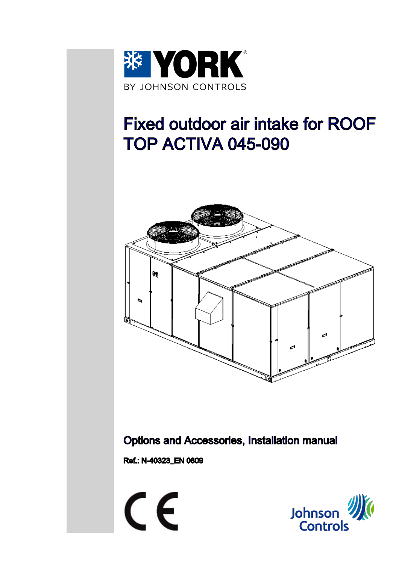

# Fixed outdoor air intake for ROOF TOP ACTIVA 045-090



Options and Accessories, Installation manual

Ref.: N-40323\_EN 0809



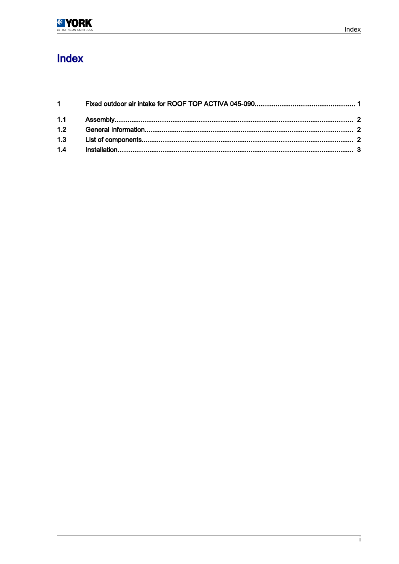### Index

| $1 \quad \blacksquare$ |  |
|------------------------|--|
|                        |  |
| 1.2                    |  |
|                        |  |
|                        |  |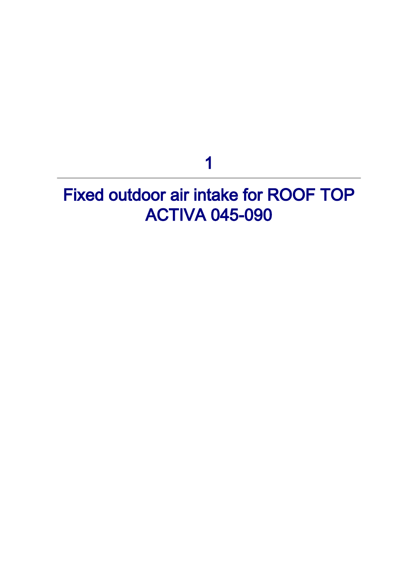## 1

## <span id="page-2-0"></span>Fixed outdoor air intake for ROOF TOP ACTIVA 045-090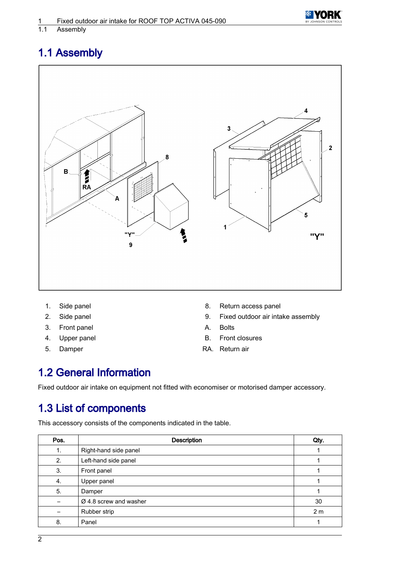

### <span id="page-3-0"></span>1.1 Assembly



- 
- 
- 3. Front panel **A.** Bolts
- 
- 
- 1. Side panel 8. Return access panel
- 2. Side panel 2. Side panel 2. Fixed outdoor air intake assembly
	-
- 4. Upper panel B. Front closures
- 5. Damper **RA.** Return air

### 1.2 General Information

Fixed outdoor air intake on equipment not fitted with economiser or motorised damper accessory.

#### 1.3 List of components

This accessory consists of the components indicated in the table.

| Pos. | <b>Description</b>                 | Qty.           |
|------|------------------------------------|----------------|
| 1.   | Right-hand side panel              |                |
| 2.   | Left-hand side panel               |                |
| 3.   | Front panel                        |                |
| 4.   | Upper panel                        |                |
| 5.   | Damper                             |                |
|      | $\varnothing$ 4.8 screw and washer | 30             |
|      | Rubber strip                       | 2 <sub>m</sub> |
| 8.   | Panel                              |                |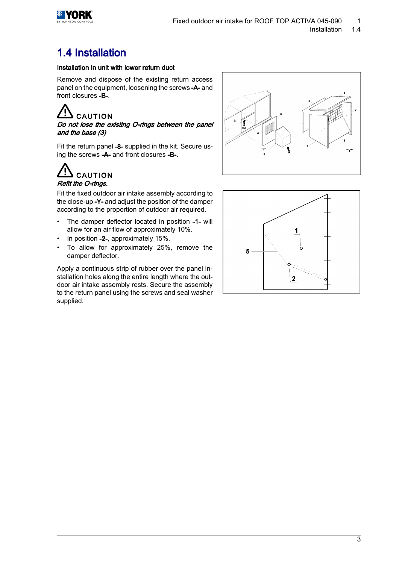<span id="page-4-0"></span>

#### 1.4 Installation

#### Installation in unit with lower return duct

Remove and dispose of the existing return access panel on the equipment, loosening the screws -A- and front closures -B-.

CAUTION

Do not lose the existing O-rings between the panel and the base (3)

Fit the return panel -8- supplied in the kit. Secure us‐ ing the screws -A- and front closures -B-.

#### **CAUTION** Refit the O-rings.

Fit the fixed outdoor air intake assembly according to the close-up -Y- and adjust the position of the damper according to the proportion of outdoor air required.

- The damper deflector located in position -1- will allow for an air flow of approximately 10%.
- In position -2-, approximately 15%.
- To allow for approximately 25%, remove the damper deflector.

Apply a continuous strip of rubber over the panel in‐ stallation holes along the entire length where the out‐ door air intake assembly rests. Secure the assembly to the return panel using the screws and seal washer supplied.



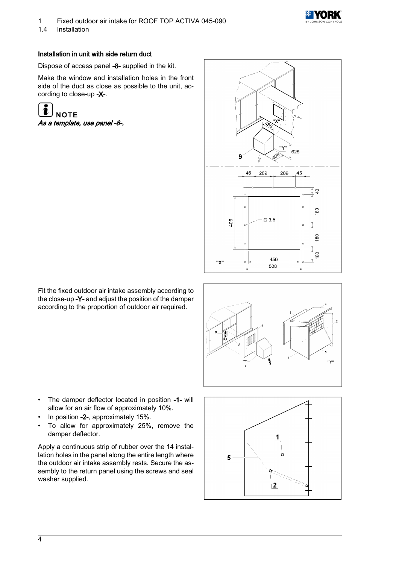

1.4 Installation

#### Installation in unit with side return duct

Dispose of access panel -8- supplied in the kit.

Make the window and installation holes in the front side of the duct as close as possible to the unit, according to close-up -X-.

**NOTE** As a template, use panel -8-.



Fit the fixed outdoor air intake assembly according to the close-up -Y- and adjust the position of the damper according to the proportion of outdoor air required.



- The damper deflector located in position -1- will allow for an air flow of approximately 10%.
- In position -2-, approximately 15%.
- To allow for approximately 25%, remove the damper deflector.

Apply a continuous strip of rubber over the 14 instal‐ lation holes in the panel along the entire length where the outdoor air intake assembly rests. Secure the assembly to the return panel using the screws and seal washer supplied.